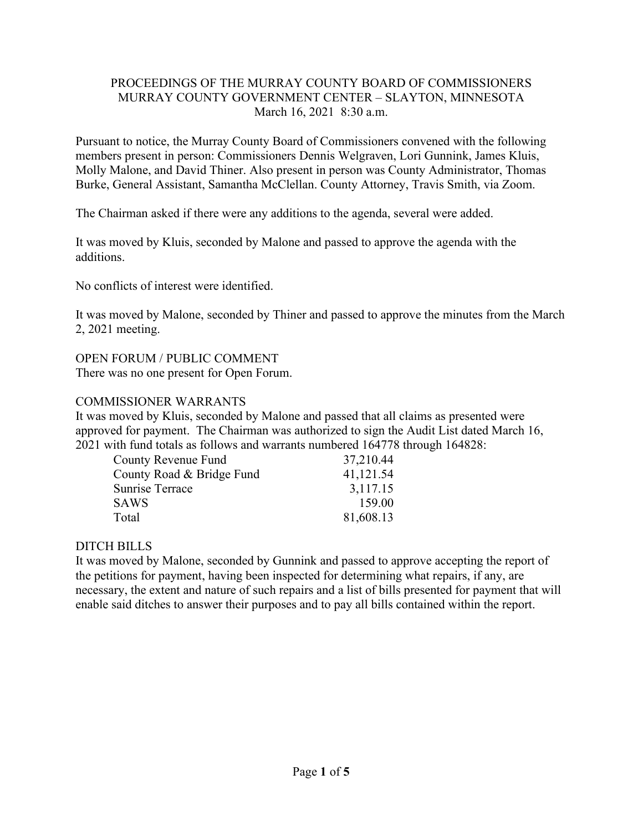### PROCEEDINGS OF THE MURRAY COUNTY BOARD OF COMMISSIONERS MURRAY COUNTY GOVERNMENT CENTER – SLAYTON, MINNESOTA March 16, 2021 8:30 a.m.

Pursuant to notice, the Murray County Board of Commissioners convened with the following members present in person: Commissioners Dennis Welgraven, Lori Gunnink, James Kluis, Molly Malone, and David Thiner. Also present in person was County Administrator, Thomas Burke, General Assistant, Samantha McClellan. County Attorney, Travis Smith, via Zoom.

The Chairman asked if there were any additions to the agenda, several were added.

It was moved by Kluis, seconded by Malone and passed to approve the agenda with the additions.

No conflicts of interest were identified.

It was moved by Malone, seconded by Thiner and passed to approve the minutes from the March 2, 2021 meeting.

## OPEN FORUM / PUBLIC COMMENT

There was no one present for Open Forum.

## COMMISSIONER WARRANTS

It was moved by Kluis, seconded by Malone and passed that all claims as presented were approved for payment. The Chairman was authorized to sign the Audit List dated March 16, 2021 with fund totals as follows and warrants numbered 164778 through 164828:

| <b>County Revenue Fund</b> | 37,210.44 |
|----------------------------|-----------|
| County Road & Bridge Fund  | 41,121.54 |
| Sunrise Terrace            | 3,117.15  |
| <b>SAWS</b>                | 159.00    |
| Total                      | 81,608.13 |

# DITCH BILLS

It was moved by Malone, seconded by Gunnink and passed to approve accepting the report of the petitions for payment, having been inspected for determining what repairs, if any, are necessary, the extent and nature of such repairs and a list of bills presented for payment that will enable said ditches to answer their purposes and to pay all bills contained within the report.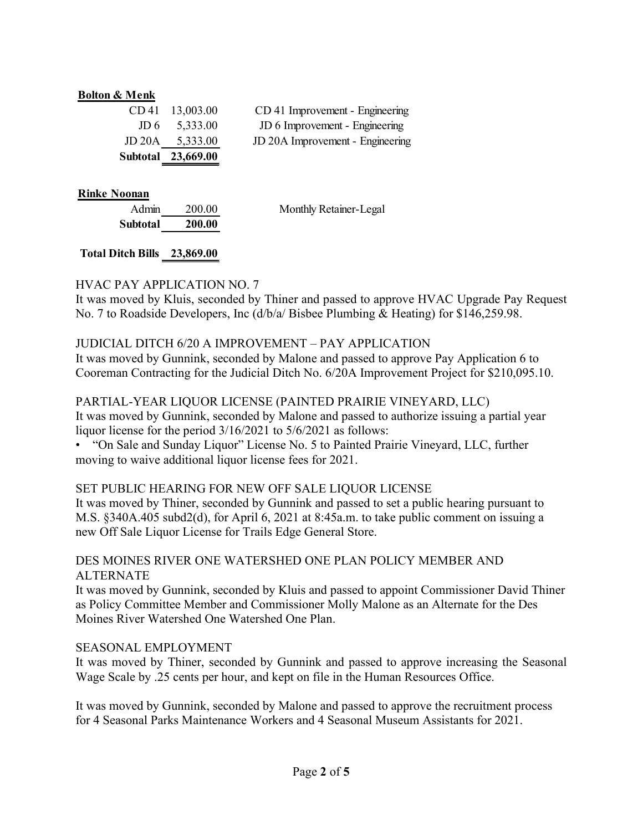#### **Bolton & Menk**

| Subtotal | 23,669.00 |
|----------|-----------|
| JD 20A   | 5,333.00  |
| JD 6     | 5,333.00  |
| CD 41    | 13,003.00 |

CD 41 Improvement - Engineering JD 6 Improvement - Engineering JD 20A Improvement - Engineering

#### **Rinke Noonan**

| Admin    | 200.00 |
|----------|--------|
| Subtotal | 200.00 |

Monthly Retainer-Legal

### **Total Ditch Bills 23,869.00**

#### HVAC PAY APPLICATION NO. 7

It was moved by Kluis, seconded by Thiner and passed to approve HVAC Upgrade Pay Request No. 7 to Roadside Developers, Inc (d/b/a/ Bisbee Plumbing & Heating) for \$146,259.98.

#### JUDICIAL DITCH 6/20 A IMPROVEMENT – PAY APPLICATION

It was moved by Gunnink, seconded by Malone and passed to approve Pay Application 6 to Cooreman Contracting for the Judicial Ditch No. 6/20A Improvement Project for \$210,095.10.

#### PARTIAL-YEAR LIQUOR LICENSE (PAINTED PRAIRIE VINEYARD, LLC)

It was moved by Gunnink, seconded by Malone and passed to authorize issuing a partial year liquor license for the period 3/16/2021 to 5/6/2021 as follows:

• "On Sale and Sunday Liquor" License No. 5 to Painted Prairie Vineyard, LLC, further moving to waive additional liquor license fees for 2021.

#### SET PUBLIC HEARING FOR NEW OFF SALE LIQUOR LICENSE

It was moved by Thiner, seconded by Gunnink and passed to set a public hearing pursuant to M.S. §340A.405 subd2(d), for April 6, 2021 at 8:45a.m. to take public comment on issuing a new Off Sale Liquor License for Trails Edge General Store.

#### DES MOINES RIVER ONE WATERSHED ONE PLAN POLICY MEMBER AND ALTERNATE

It was moved by Gunnink, seconded by Kluis and passed to appoint Commissioner David Thiner as Policy Committee Member and Commissioner Molly Malone as an Alternate for the Des Moines River Watershed One Watershed One Plan.

#### SEASONAL EMPLOYMENT

It was moved by Thiner, seconded by Gunnink and passed to approve increasing the Seasonal Wage Scale by .25 cents per hour, and kept on file in the Human Resources Office.

It was moved by Gunnink, seconded by Malone and passed to approve the recruitment process for 4 Seasonal Parks Maintenance Workers and 4 Seasonal Museum Assistants for 2021.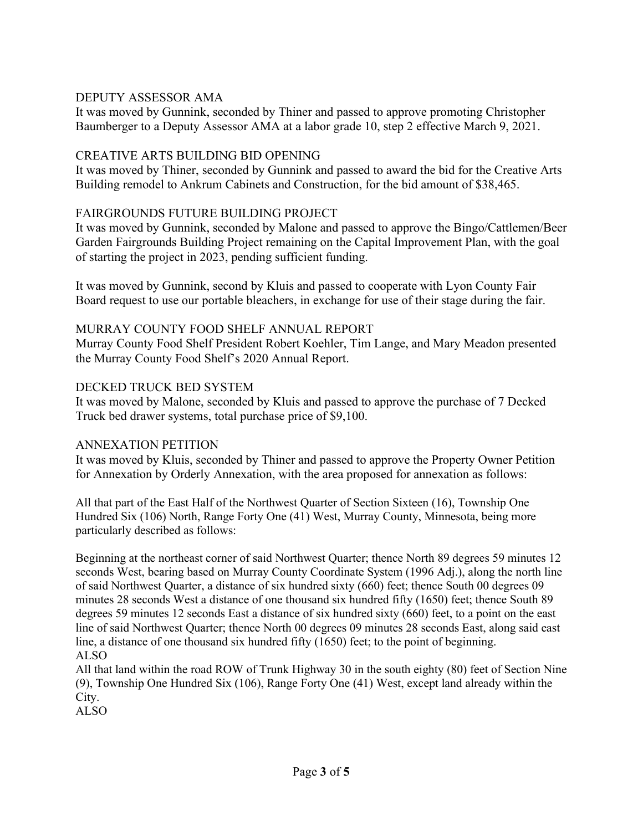### DEPUTY ASSESSOR AMA

It was moved by Gunnink, seconded by Thiner and passed to approve promoting Christopher Baumberger to a Deputy Assessor AMA at a labor grade 10, step 2 effective March 9, 2021.

### CREATIVE ARTS BUILDING BID OPENING

It was moved by Thiner, seconded by Gunnink and passed to award the bid for the Creative Arts Building remodel to Ankrum Cabinets and Construction, for the bid amount of \$38,465.

## FAIRGROUNDS FUTURE BUILDING PROJECT

It was moved by Gunnink, seconded by Malone and passed to approve the Bingo/Cattlemen/Beer Garden Fairgrounds Building Project remaining on the Capital Improvement Plan, with the goal of starting the project in 2023, pending sufficient funding.

It was moved by Gunnink, second by Kluis and passed to cooperate with Lyon County Fair Board request to use our portable bleachers, in exchange for use of their stage during the fair.

## MURRAY COUNTY FOOD SHELF ANNUAL REPORT

Murray County Food Shelf President Robert Koehler, Tim Lange, and Mary Meadon presented the Murray County Food Shelf's 2020 Annual Report.

## DECKED TRUCK BED SYSTEM

It was moved by Malone, seconded by Kluis and passed to approve the purchase of 7 Decked Truck bed drawer systems, total purchase price of \$9,100.

# ANNEXATION PETITION

It was moved by Kluis, seconded by Thiner and passed to approve the Property Owner Petition for Annexation by Orderly Annexation, with the area proposed for annexation as follows:

All that part of the East Half of the Northwest Quarter of Section Sixteen (16), Township One Hundred Six (106) North, Range Forty One (41) West, Murray County, Minnesota, being more particularly described as follows:

Beginning at the northeast corner of said Northwest Quarter; thence North 89 degrees 59 minutes 12 seconds West, bearing based on Murray County Coordinate System (1996 Adj.), along the north line of said Northwest Quarter, a distance of six hundred sixty (660) feet; thence South 00 degrees 09 minutes 28 seconds West a distance of one thousand six hundred fifty (1650) feet; thence South 89 degrees 59 minutes 12 seconds East a distance of six hundred sixty (660) feet, to a point on the east line of said Northwest Quarter; thence North 00 degrees 09 minutes 28 seconds East, along said east line, a distance of one thousand six hundred fifty (1650) feet; to the point of beginning. ALSO

All that land within the road ROW of Trunk Highway 30 in the south eighty (80) feet of Section Nine (9), Township One Hundred Six (106), Range Forty One (41) West, except land already within the City.

ALSO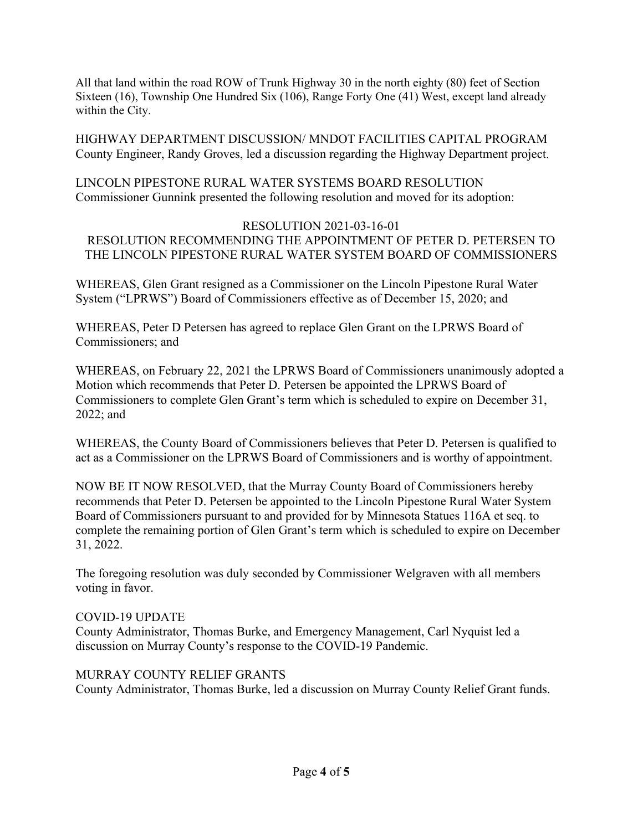All that land within the road ROW of Trunk Highway 30 in the north eighty (80) feet of Section Sixteen (16), Township One Hundred Six (106), Range Forty One (41) West, except land already within the City.

HIGHWAY DEPARTMENT DISCUSSION/ MNDOT FACILITIES CAPITAL PROGRAM County Engineer, Randy Groves, led a discussion regarding the Highway Department project.

LINCOLN PIPESTONE RURAL WATER SYSTEMS BOARD RESOLUTION Commissioner Gunnink presented the following resolution and moved for its adoption:

#### RESOLUTION 2021-03-16-01 RESOLUTION RECOMMENDING THE APPOINTMENT OF PETER D. PETERSEN TO THE LINCOLN PIPESTONE RURAL WATER SYSTEM BOARD OF COMMISSIONERS

WHEREAS, Glen Grant resigned as a Commissioner on the Lincoln Pipestone Rural Water System ("LPRWS") Board of Commissioners effective as of December 15, 2020; and

WHEREAS, Peter D Petersen has agreed to replace Glen Grant on the LPRWS Board of Commissioners; and

WHEREAS, on February 22, 2021 the LPRWS Board of Commissioners unanimously adopted a Motion which recommends that Peter D. Petersen be appointed the LPRWS Board of Commissioners to complete Glen Grant's term which is scheduled to expire on December 31, 2022; and

WHEREAS, the County Board of Commissioners believes that Peter D. Petersen is qualified to act as a Commissioner on the LPRWS Board of Commissioners and is worthy of appointment.

NOW BE IT NOW RESOLVED, that the Murray County Board of Commissioners hereby recommends that Peter D. Petersen be appointed to the Lincoln Pipestone Rural Water System Board of Commissioners pursuant to and provided for by Minnesota Statues 116A et seq. to complete the remaining portion of Glen Grant's term which is scheduled to expire on December 31, 2022.

The foregoing resolution was duly seconded by Commissioner Welgraven with all members voting in favor.

#### COVID-19 UPDATE

County Administrator, Thomas Burke, and Emergency Management, Carl Nyquist led a discussion on Murray County's response to the COVID-19 Pandemic.

# MURRAY COUNTY RELIEF GRANTS

County Administrator, Thomas Burke, led a discussion on Murray County Relief Grant funds.